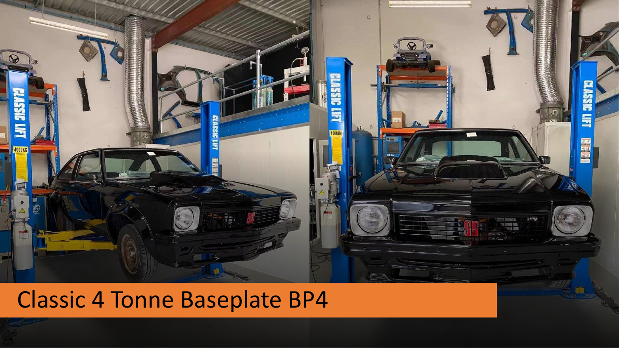

## Classic 4 Tonne Baseplate BP4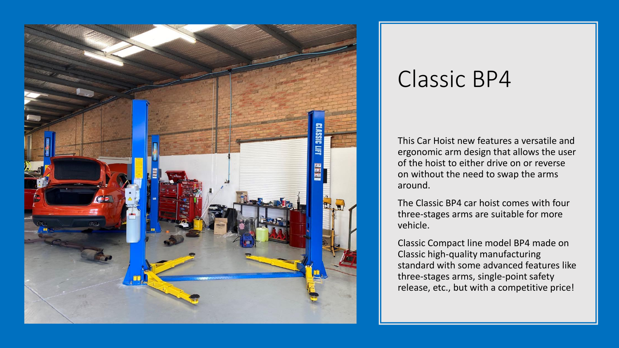

## Classic BP4

This Car Hoist new features a versatile and ergonomic arm design that allows the user of the hoist to either drive on or reverse on without the need to swap the arms around.

The Classic BP4 car hoist comes with four three-stages arms are suitable for more vehicle.

Classic Compact line model BP4 made on Classic high-quality manufacturing standard with some advanced features like three-stages arms, single-point safety release, etc., but with a competitive price!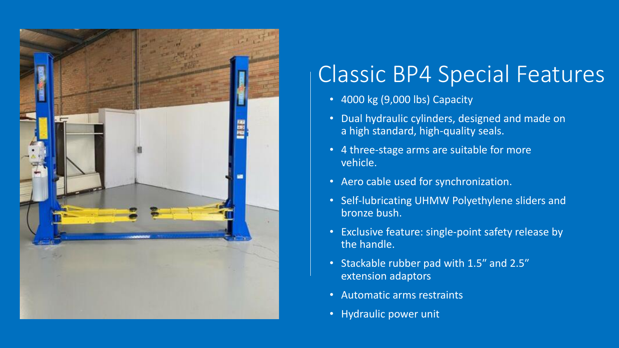

## Classic BP4 Special Features

- 4000 kg (9,000 lbs) Capacity
- Dual hydraulic cylinders, designed and made on a high standard, high-quality seals.
- 4 three-stage arms are suitable for more vehicle.
- Aero cable used for synchronization.
- Self-lubricating UHMW Polyethylene sliders and bronze bush.
- Exclusive feature: single-point safety release by the handle.
- Stackable rubber pad with 1.5″ and 2.5″ extension adaptors
- Automatic arms restraints
- Hydraulic power unit